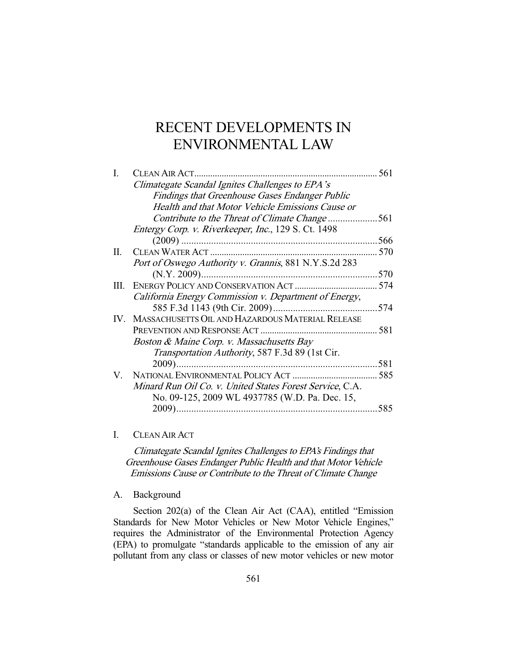# RECENT DEVELOPMENTS IN ENVIRONMENTAL LAW

| L  |                                                          | 561 |
|----|----------------------------------------------------------|-----|
|    | Climategate Scandal Ignites Challenges to EPA's          |     |
|    | Findings that Greenhouse Gases Endanger Public           |     |
|    | Health and that Motor Vehicle Emissions Cause or         |     |
|    | Contribute to the Threat of Climate Change561            |     |
|    | Entergy Corp. v. Riverkeeper, Inc., 129 S. Ct. 1498      |     |
|    |                                                          |     |
| П. |                                                          | 570 |
|    | Port of Oswego Authority v. Grannis, 881 N.Y.S.2d 283    |     |
|    |                                                          | 570 |
| Ш. |                                                          | 574 |
|    | California Energy Commission v. Department of Energy,    |     |
|    |                                                          |     |
|    | IV. MASSACHUSETTS OIL AND HAZARDOUS MATERIAL RELEASE     |     |
|    |                                                          |     |
|    | Boston & Maine Corp. v. Massachusetts Bay                |     |
|    | Transportation Authority, 587 F.3d 89 (1st Cir.          |     |
|    |                                                          |     |
|    |                                                          |     |
|    | Minard Run Oil Co. v. United States Forest Service, C.A. |     |
|    | No. 09-125, 2009 WL 4937785 (W.D. Pa. Dec. 15,           |     |
|    | 2009)                                                    | 585 |

# I. CLEAN AIR ACT

Climategate Scandal Ignites Challenges to EPA's Findings that Greenhouse Gases Endanger Public Health and that Motor Vehicle Emissions Cause or Contribute to the Threat of Climate Change

A. Background

 Section 202(a) of the Clean Air Act (CAA), entitled "Emission Standards for New Motor Vehicles or New Motor Vehicle Engines," requires the Administrator of the Environmental Protection Agency (EPA) to promulgate "standards applicable to the emission of any air pollutant from any class or classes of new motor vehicles or new motor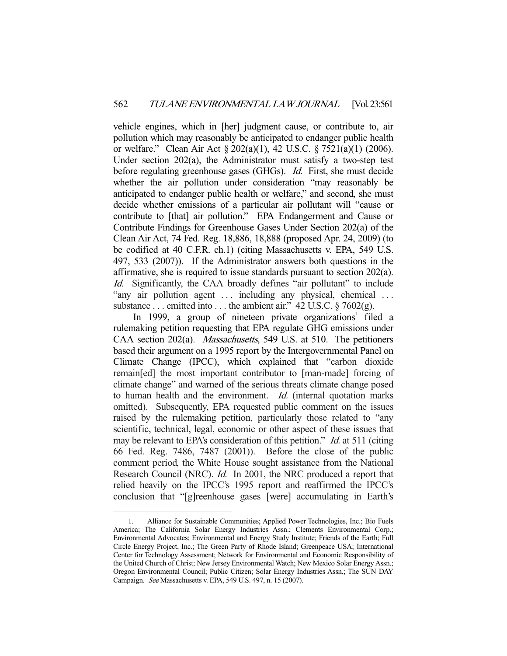vehicle engines, which in [her] judgment cause, or contribute to, air pollution which may reasonably be anticipated to endanger public health or welfare." Clean Air Act § 202(a)(1), 42 U.S.C. § 7521(a)(1) (2006). Under section 202(a), the Administrator must satisfy a two-step test before regulating greenhouse gases (GHGs). *Id.* First, she must decide whether the air pollution under consideration "may reasonably be anticipated to endanger public health or welfare," and second, she must decide whether emissions of a particular air pollutant will "cause or contribute to [that] air pollution." EPA Endangerment and Cause or Contribute Findings for Greenhouse Gases Under Section 202(a) of the Clean Air Act, 74 Fed. Reg. 18,886, 18,888 (proposed Apr. 24, 2009) (to be codified at 40 C.F.R. ch.1) (citing Massachusetts v. EPA, 549 U.S. 497, 533 (2007)). If the Administrator answers both questions in the affirmative, she is required to issue standards pursuant to section 202(a). Id. Significantly, the CAA broadly defines "air pollutant" to include "any air pollution agent ... including any physical, chemical ... substance . . . emitted into . . . the ambient air."  $42$  U.S.C.  $\S$  7602(g).

In 1999, a group of nineteen private organizations<sup>1</sup> filed a rulemaking petition requesting that EPA regulate GHG emissions under CAA section 202(a). Massachusetts, 549 U.S. at 510. The petitioners based their argument on a 1995 report by the Intergovernmental Panel on Climate Change (IPCC), which explained that "carbon dioxide remain[ed] the most important contributor to [man-made] forcing of climate change" and warned of the serious threats climate change posed to human health and the environment. *Id.* (internal quotation marks omitted). Subsequently, EPA requested public comment on the issues raised by the rulemaking petition, particularly those related to "any scientific, technical, legal, economic or other aspect of these issues that may be relevant to EPA's consideration of this petition." *Id.* at 511 (citing 66 Fed. Reg. 7486, 7487 (2001)). Before the close of the public comment period, the White House sought assistance from the National Research Council (NRC). Id. In 2001, the NRC produced a report that relied heavily on the IPCC's 1995 report and reaffirmed the IPCC's conclusion that "[g]reenhouse gases [were] accumulating in Earth's

-

 <sup>1.</sup> Alliance for Sustainable Communities; Applied Power Technologies, Inc.; Bio Fuels America; The California Solar Energy Industries Assn.; Clements Environmental Corp.; Environmental Advocates; Environmental and Energy Study Institute; Friends of the Earth; Full Circle Energy Project, Inc.; The Green Party of Rhode Island; Greenpeace USA; International Center for Technology Assessment; Network for Environmental and Economic Responsibility of the United Church of Christ; New Jersey Environmental Watch; New Mexico Solar Energy Assn.; Oregon Environmental Council; Public Citizen; Solar Energy Industries Assn.; The SUN DAY Campaign. See Massachusetts v. EPA, 549 U.S. 497, n. 15 (2007).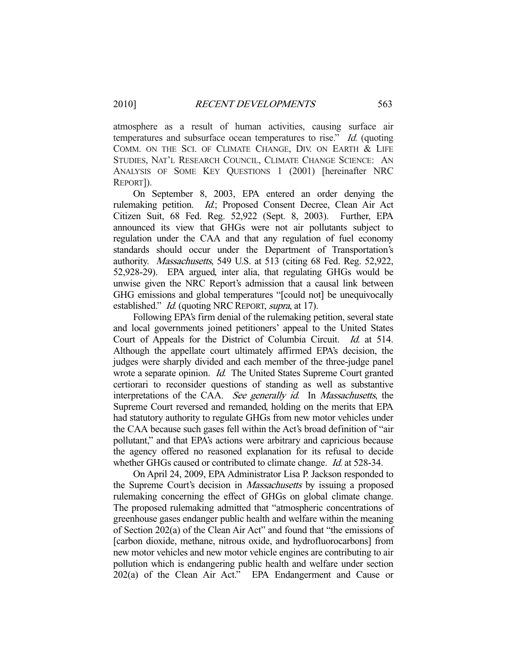atmosphere as a result of human activities, causing surface air temperatures and subsurface ocean temperatures to rise." Id. (quoting COMM. ON THE SCI. OF CLIMATE CHANGE, DIV. ON EARTH & LIFE STUDIES, NAT'L RESEARCH COUNCIL, CLIMATE CHANGE SCIENCE: AN ANALYSIS OF SOME KEY QUESTIONS 1 (2001) [hereinafter NRC REPORT]).

 On September 8, 2003, EPA entered an order denying the rulemaking petition. Id.; Proposed Consent Decree, Clean Air Act Citizen Suit, 68 Fed. Reg. 52,922 (Sept. 8, 2003). Further, EPA announced its view that GHGs were not air pollutants subject to regulation under the CAA and that any regulation of fuel economy standards should occur under the Department of Transportation's authority. Massachusetts, 549 U.S. at 513 (citing 68 Fed. Reg. 52,922, 52,928-29). EPA argued, inter alia, that regulating GHGs would be unwise given the NRC Report's admission that a causal link between GHG emissions and global temperatures "[could not] be unequivocally established." *Id.* (quoting NRC REPORT, *supra*, at 17).

 Following EPA's firm denial of the rulemaking petition, several state and local governments joined petitioners' appeal to the United States Court of Appeals for the District of Columbia Circuit. Id. at 514. Although the appellate court ultimately affirmed EPA's decision, the judges were sharply divided and each member of the three-judge panel wrote a separate opinion. *Id.* The United States Supreme Court granted certiorari to reconsider questions of standing as well as substantive interpretations of the CAA. See generally id. In Massachusetts, the Supreme Court reversed and remanded, holding on the merits that EPA had statutory authority to regulate GHGs from new motor vehicles under the CAA because such gases fell within the Act's broad definition of "air pollutant," and that EPA's actions were arbitrary and capricious because the agency offered no reasoned explanation for its refusal to decide whether GHGs caused or contributed to climate change. *Id.* at 528-34.

 On April 24, 2009, EPA Administrator Lisa P. Jackson responded to the Supreme Court's decision in Massachusetts by issuing a proposed rulemaking concerning the effect of GHGs on global climate change. The proposed rulemaking admitted that "atmospheric concentrations of greenhouse gases endanger public health and welfare within the meaning of Section 202(a) of the Clean Air Act" and found that "the emissions of [carbon dioxide, methane, nitrous oxide, and hydrofluorocarbons] from new motor vehicles and new motor vehicle engines are contributing to air pollution which is endangering public health and welfare under section 202(a) of the Clean Air Act." EPA Endangerment and Cause or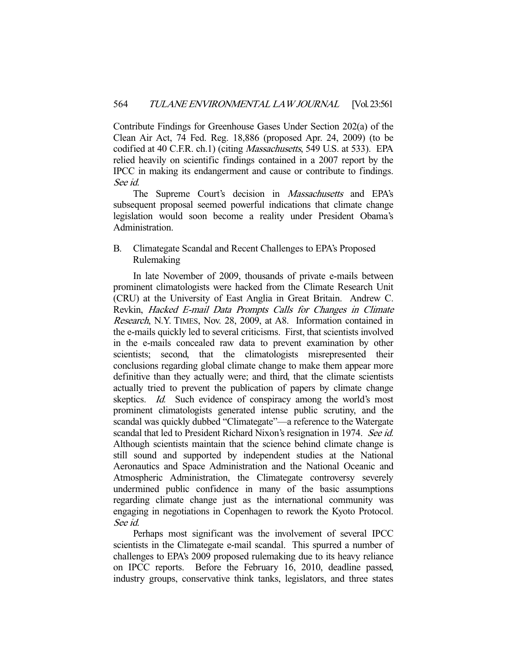Contribute Findings for Greenhouse Gases Under Section 202(a) of the Clean Air Act, 74 Fed. Reg. 18,886 (proposed Apr. 24, 2009) (to be codified at 40 C.F.R. ch.1) (citing *Massachusetts*, 549 U.S. at 533). EPA relied heavily on scientific findings contained in a 2007 report by the IPCC in making its endangerment and cause or contribute to findings. See id.

The Supreme Court's decision in *Massachusetts* and EPA's subsequent proposal seemed powerful indications that climate change legislation would soon become a reality under President Obama's Administration.

# B. Climategate Scandal and Recent Challenges to EPA's Proposed Rulemaking

 In late November of 2009, thousands of private e-mails between prominent climatologists were hacked from the Climate Research Unit (CRU) at the University of East Anglia in Great Britain. Andrew C. Revkin, Hacked E-mail Data Prompts Calls for Changes in Climate Research, N.Y. TIMES, Nov. 28, 2009, at A8. Information contained in the e-mails quickly led to several criticisms. First, that scientists involved in the e-mails concealed raw data to prevent examination by other scientists; second, that the climatologists misrepresented their conclusions regarding global climate change to make them appear more definitive than they actually were; and third, that the climate scientists actually tried to prevent the publication of papers by climate change skeptics. *Id.* Such evidence of conspiracy among the world's most prominent climatologists generated intense public scrutiny, and the scandal was quickly dubbed "Climategate"—a reference to the Watergate scandal that led to President Richard Nixon's resignation in 1974. See id. Although scientists maintain that the science behind climate change is still sound and supported by independent studies at the National Aeronautics and Space Administration and the National Oceanic and Atmospheric Administration, the Climategate controversy severely undermined public confidence in many of the basic assumptions regarding climate change just as the international community was engaging in negotiations in Copenhagen to rework the Kyoto Protocol. See id.

 Perhaps most significant was the involvement of several IPCC scientists in the Climategate e-mail scandal. This spurred a number of challenges to EPA's 2009 proposed rulemaking due to its heavy reliance on IPCC reports. Before the February 16, 2010, deadline passed, industry groups, conservative think tanks, legislators, and three states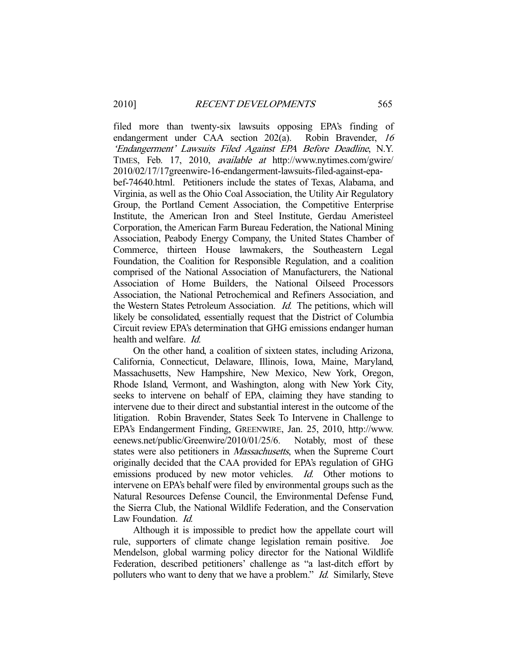filed more than twenty-six lawsuits opposing EPA's finding of endangerment under CAA section 202(a). Robin Bravender, <sup>16</sup> 'Endangerment' Lawsuits Filed Against EPA Before Deadline, N.Y. TIMES, Feb. 17, 2010, available at http://www.nytimes.com/gwire/ 2010/02/17/17greenwire-16-endangerment-lawsuits-filed-against-epa-

bef-74640.html. Petitioners include the states of Texas, Alabama, and Virginia, as well as the Ohio Coal Association, the Utility Air Regulatory Group, the Portland Cement Association, the Competitive Enterprise Institute, the American Iron and Steel Institute, Gerdau Ameristeel Corporation, the American Farm Bureau Federation, the National Mining Association, Peabody Energy Company, the United States Chamber of Commerce, thirteen House lawmakers, the Southeastern Legal Foundation, the Coalition for Responsible Regulation, and a coalition comprised of the National Association of Manufacturers, the National Association of Home Builders, the National Oilseed Processors Association, the National Petrochemical and Refiners Association, and the Western States Petroleum Association. Id. The petitions, which will likely be consolidated, essentially request that the District of Columbia Circuit review EPA's determination that GHG emissions endanger human health and welfare. Id.

 On the other hand, a coalition of sixteen states, including Arizona, California, Connecticut, Delaware, Illinois, Iowa, Maine, Maryland, Massachusetts, New Hampshire, New Mexico, New York, Oregon, Rhode Island, Vermont, and Washington, along with New York City, seeks to intervene on behalf of EPA, claiming they have standing to intervene due to their direct and substantial interest in the outcome of the litigation. Robin Bravender, States Seek To Intervene in Challenge to EPA's Endangerment Finding, GREENWIRE, Jan. 25, 2010, http://www. eenews.net/public/Greenwire/2010/01/25/6. Notably, most of these states were also petitioners in *Massachusetts*, when the Supreme Court originally decided that the CAA provided for EPA's regulation of GHG emissions produced by new motor vehicles. Id. Other motions to intervene on EPA's behalf were filed by environmental groups such as the Natural Resources Defense Council, the Environmental Defense Fund, the Sierra Club, the National Wildlife Federation, and the Conservation Law Foundation. *Id.* 

 Although it is impossible to predict how the appellate court will rule, supporters of climate change legislation remain positive. Joe Mendelson, global warming policy director for the National Wildlife Federation, described petitioners' challenge as "a last-ditch effort by polluters who want to deny that we have a problem." *Id.* Similarly, Steve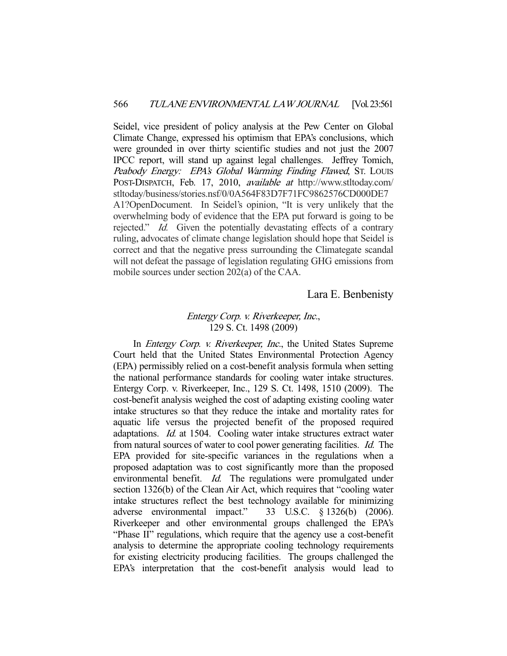Seidel, vice president of policy analysis at the Pew Center on Global Climate Change, expressed his optimism that EPA's conclusions, which were grounded in over thirty scientific studies and not just the 2007 IPCC report, will stand up against legal challenges. Jeffrey Tomich, Peabody Energy: EPA's Global Warming Finding Flawed, St. Louis POST-DISPATCH, Feb. 17, 2010, available at http://www.stltoday.com/ stltoday/business/stories.nsf/0/0A564F83D7F71FC9862576CD000DE7 A1?OpenDocument. In Seidel's opinion, "It is very unlikely that the overwhelming body of evidence that the EPA put forward is going to be rejected." Id. Given the potentially devastating effects of a contrary ruling, advocates of climate change legislation should hope that Seidel is correct and that the negative press surrounding the Climategate scandal will not defeat the passage of legislation regulating GHG emissions from mobile sources under section 202(a) of the CAA.

## Lara E. Benbenisty

## Entergy Corp. v. Riverkeeper, Inc., 129 S. Ct. 1498 (2009)

In *Entergy Corp. v. Riverkeeper, Inc.*, the United States Supreme Court held that the United States Environmental Protection Agency (EPA) permissibly relied on a cost-benefit analysis formula when setting the national performance standards for cooling water intake structures. Entergy Corp. v. Riverkeeper, Inc., 129 S. Ct. 1498, 1510 (2009). The cost-benefit analysis weighed the cost of adapting existing cooling water intake structures so that they reduce the intake and mortality rates for aquatic life versus the projected benefit of the proposed required adaptations. Id. at 1504. Cooling water intake structures extract water from natural sources of water to cool power generating facilities. Id. The EPA provided for site-specific variances in the regulations when a proposed adaptation was to cost significantly more than the proposed environmental benefit. Id. The regulations were promulgated under section 1326(b) of the Clean Air Act, which requires that "cooling water intake structures reflect the best technology available for minimizing adverse environmental impact." 33 U.S.C. § 1326(b) (2006). Riverkeeper and other environmental groups challenged the EPA's "Phase II" regulations, which require that the agency use a cost-benefit analysis to determine the appropriate cooling technology requirements for existing electricity producing facilities. The groups challenged the EPA's interpretation that the cost-benefit analysis would lead to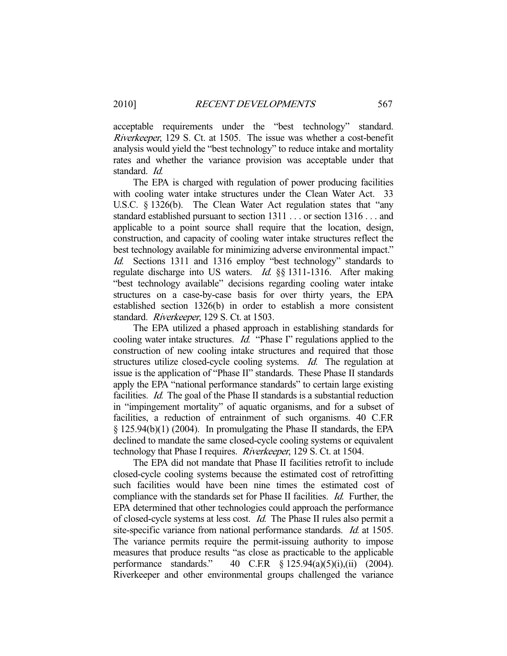acceptable requirements under the "best technology" standard. Riverkeeper, 129 S. Ct. at 1505. The issue was whether a cost-benefit analysis would yield the "best technology" to reduce intake and mortality rates and whether the variance provision was acceptable under that standard. Id.

 The EPA is charged with regulation of power producing facilities with cooling water intake structures under the Clean Water Act. 33 U.S.C. § 1326(b). The Clean Water Act regulation states that "any standard established pursuant to section 1311 . . . or section 1316 . . . and applicable to a point source shall require that the location, design, construction, and capacity of cooling water intake structures reflect the best technology available for minimizing adverse environmental impact." Id. Sections 1311 and 1316 employ "best technology" standards to regulate discharge into US waters. Id. §§ 1311-1316. After making "best technology available" decisions regarding cooling water intake structures on a case-by-case basis for over thirty years, the EPA established section 1326(b) in order to establish a more consistent standard. Riverkeeper, 129 S. Ct. at 1503.

 The EPA utilized a phased approach in establishing standards for cooling water intake structures. Id. "Phase I" regulations applied to the construction of new cooling intake structures and required that those structures utilize closed-cycle cooling systems. Id. The regulation at issue is the application of "Phase II" standards. These Phase II standards apply the EPA "national performance standards" to certain large existing facilities. Id. The goal of the Phase II standards is a substantial reduction in "impingement mortality" of aquatic organisms, and for a subset of facilities, a reduction of entrainment of such organisms. 40 C.F.R § 125.94(b)(1) (2004). In promulgating the Phase II standards, the EPA declined to mandate the same closed-cycle cooling systems or equivalent technology that Phase I requires. Riverkeeper, 129 S. Ct. at 1504.

 The EPA did not mandate that Phase II facilities retrofit to include closed-cycle cooling systems because the estimated cost of retrofitting such facilities would have been nine times the estimated cost of compliance with the standards set for Phase II facilities. Id. Further, the EPA determined that other technologies could approach the performance of closed-cycle systems at less cost. Id. The Phase II rules also permit a site-specific variance from national performance standards. Id. at 1505. The variance permits require the permit-issuing authority to impose measures that produce results "as close as practicable to the applicable performance standards." 40 C.F.R § 125.94(a)(5)(i),(ii) (2004). Riverkeeper and other environmental groups challenged the variance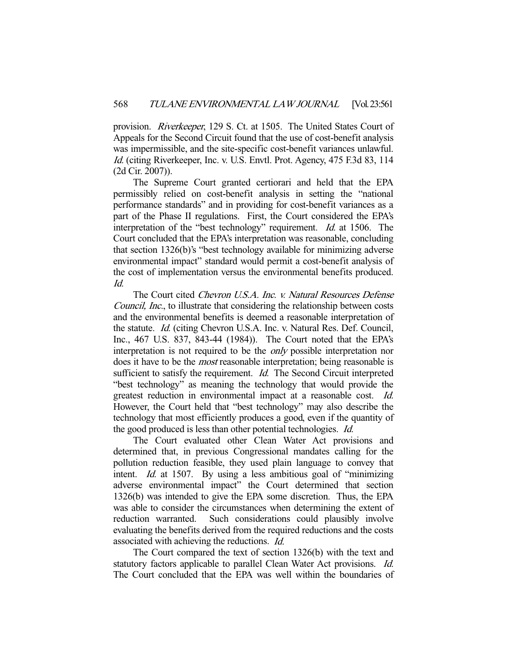provision. *Riverkeeper*, 129 S. Ct. at 1505. The United States Court of Appeals for the Second Circuit found that the use of cost-benefit analysis was impermissible, and the site-specific cost-benefit variances unlawful. Id. (citing Riverkeeper, Inc. v. U.S. Envtl. Prot. Agency, 475 F.3d 83, 114 (2d Cir. 2007)).

 The Supreme Court granted certiorari and held that the EPA permissibly relied on cost-benefit analysis in setting the "national performance standards" and in providing for cost-benefit variances as a part of the Phase II regulations. First, the Court considered the EPA's interpretation of the "best technology" requirement. Id. at 1506. The Court concluded that the EPA's interpretation was reasonable, concluding that section 1326(b)'s "best technology available for minimizing adverse environmental impact" standard would permit a cost-benefit analysis of the cost of implementation versus the environmental benefits produced. Id.

 The Court cited Chevron U.S.A. Inc. v. Natural Resources Defense Council, Inc., to illustrate that considering the relationship between costs and the environmental benefits is deemed a reasonable interpretation of the statute. Id. (citing Chevron U.S.A. Inc. v. Natural Res. Def. Council, Inc., 467 U.S. 837, 843-44 (1984)). The Court noted that the EPA's interpretation is not required to be the only possible interpretation nor does it have to be the *most* reasonable interpretation; being reasonable is sufficient to satisfy the requirement. *Id.* The Second Circuit interpreted "best technology" as meaning the technology that would provide the greatest reduction in environmental impact at a reasonable cost. Id. However, the Court held that "best technology" may also describe the technology that most efficiently produces a good, even if the quantity of the good produced is less than other potential technologies. *Id.* 

 The Court evaluated other Clean Water Act provisions and determined that, in previous Congressional mandates calling for the pollution reduction feasible, they used plain language to convey that intent. *Id.* at 1507. By using a less ambitious goal of "minimizing" adverse environmental impact" the Court determined that section 1326(b) was intended to give the EPA some discretion. Thus, the EPA was able to consider the circumstances when determining the extent of reduction warranted. Such considerations could plausibly involve evaluating the benefits derived from the required reductions and the costs associated with achieving the reductions. Id.

 The Court compared the text of section 1326(b) with the text and statutory factors applicable to parallel Clean Water Act provisions. *Id.* The Court concluded that the EPA was well within the boundaries of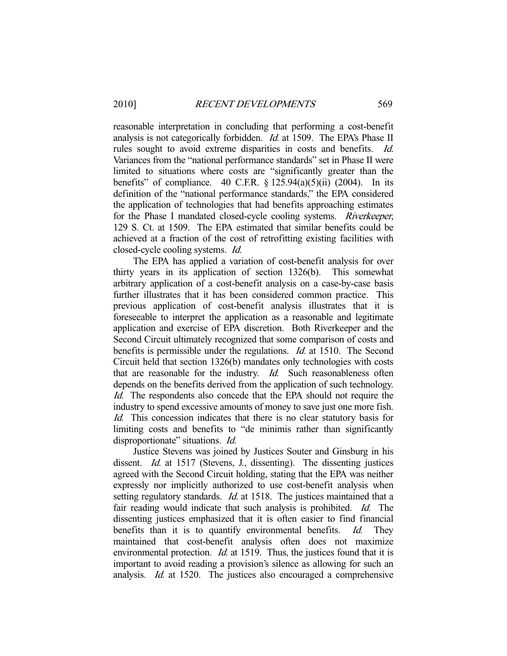reasonable interpretation in concluding that performing a cost-benefit analysis is not categorically forbidden. Id. at 1509. The EPA's Phase II rules sought to avoid extreme disparities in costs and benefits. Id. Variances from the "national performance standards" set in Phase II were limited to situations where costs are "significantly greater than the benefits" of compliance.  $40$  C.F.R.  $\S$  125.94(a)(5)(ii) (2004). In its definition of the "national performance standards," the EPA considered the application of technologies that had benefits approaching estimates for the Phase I mandated closed-cycle cooling systems. Riverkeeper, 129 S. Ct. at 1509. The EPA estimated that similar benefits could be achieved at a fraction of the cost of retrofitting existing facilities with closed-cycle cooling systems. Id.

 The EPA has applied a variation of cost-benefit analysis for over thirty years in its application of section 1326(b). This somewhat arbitrary application of a cost-benefit analysis on a case-by-case basis further illustrates that it has been considered common practice. This previous application of cost-benefit analysis illustrates that it is foreseeable to interpret the application as a reasonable and legitimate application and exercise of EPA discretion. Both Riverkeeper and the Second Circuit ultimately recognized that some comparison of costs and benefits is permissible under the regulations. *Id.* at 1510. The Second Circuit held that section 1326(b) mandates only technologies with costs that are reasonable for the industry. Id. Such reasonableness often depends on the benefits derived from the application of such technology. Id. The respondents also concede that the EPA should not require the industry to spend excessive amounts of money to save just one more fish. Id. This concession indicates that there is no clear statutory basis for limiting costs and benefits to "de minimis rather than significantly disproportionate" situations. *Id.* 

 Justice Stevens was joined by Justices Souter and Ginsburg in his dissent. Id. at 1517 (Stevens, J., dissenting). The dissenting justices agreed with the Second Circuit holding, stating that the EPA was neither expressly nor implicitly authorized to use cost-benefit analysis when setting regulatory standards. *Id.* at 1518. The justices maintained that a fair reading would indicate that such analysis is prohibited. Id. The dissenting justices emphasized that it is often easier to find financial benefits than it is to quantify environmental benefits. Id. They maintained that cost-benefit analysis often does not maximize environmental protection. *Id.* at 1519. Thus, the justices found that it is important to avoid reading a provision's silence as allowing for such an analysis. Id. at 1520. The justices also encouraged a comprehensive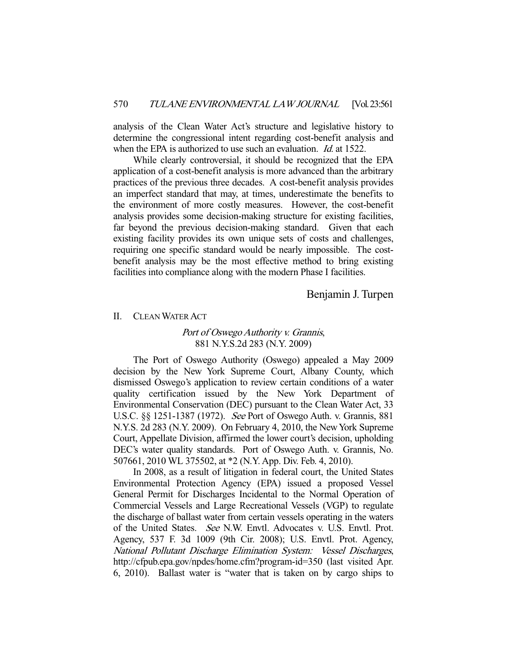analysis of the Clean Water Act's structure and legislative history to determine the congressional intent regarding cost-benefit analysis and when the EPA is authorized to use such an evaluation. *Id.* at 1522.

 While clearly controversial, it should be recognized that the EPA application of a cost-benefit analysis is more advanced than the arbitrary practices of the previous three decades. A cost-benefit analysis provides an imperfect standard that may, at times, underestimate the benefits to the environment of more costly measures. However, the cost-benefit analysis provides some decision-making structure for existing facilities, far beyond the previous decision-making standard. Given that each existing facility provides its own unique sets of costs and challenges, requiring one specific standard would be nearly impossible. The costbenefit analysis may be the most effective method to bring existing facilities into compliance along with the modern Phase I facilities.

# Benjamin J. Turpen

#### II. CLEAN WATER ACT

# Port of Oswego Authority v. Grannis, 881 N.Y.S.2d 283 (N.Y. 2009)

 The Port of Oswego Authority (Oswego) appealed a May 2009 decision by the New York Supreme Court, Albany County, which dismissed Oswego's application to review certain conditions of a water quality certification issued by the New York Department of Environmental Conservation (DEC) pursuant to the Clean Water Act, 33 U.S.C. §§ 1251-1387 (1972). See Port of Oswego Auth. v. Grannis, 881 N.Y.S. 2d 283 (N.Y. 2009). On February 4, 2010, the New York Supreme Court, Appellate Division, affirmed the lower court's decision, upholding DEC's water quality standards. Port of Oswego Auth. v. Grannis, No. 507661, 2010 WL 375502, at \*2 (N.Y. App. Div. Feb. 4, 2010).

 In 2008, as a result of litigation in federal court, the United States Environmental Protection Agency (EPA) issued a proposed Vessel General Permit for Discharges Incidental to the Normal Operation of Commercial Vessels and Large Recreational Vessels (VGP) to regulate the discharge of ballast water from certain vessels operating in the waters of the United States. See N.W. Envtl. Advocates v. U.S. Envtl. Prot. Agency, 537 F. 3d 1009 (9th Cir. 2008); U.S. Envtl. Prot. Agency, National Pollutant Discharge Elimination System: Vessel Discharges, http://cfpub.epa.gov/npdes/home.cfm?program-id=350 (last visited Apr. 6, 2010). Ballast water is "water that is taken on by cargo ships to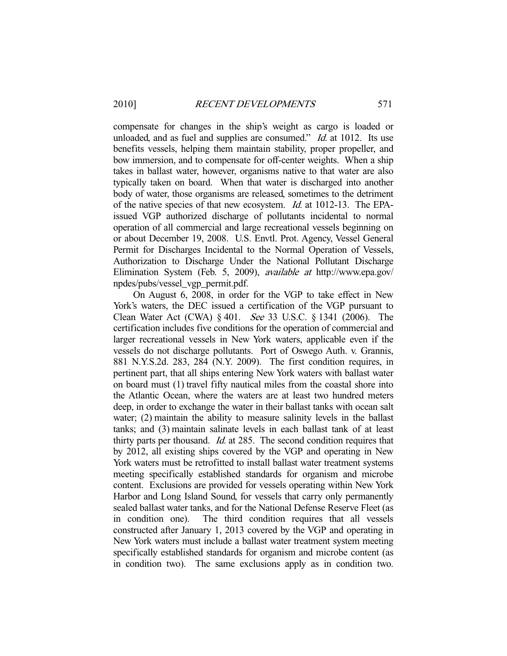compensate for changes in the ship's weight as cargo is loaded or unloaded, and as fuel and supplies are consumed."  $Id$  at 1012. Its use benefits vessels, helping them maintain stability, proper propeller, and bow immersion, and to compensate for off-center weights. When a ship takes in ballast water, however, organisms native to that water are also typically taken on board. When that water is discharged into another body of water, those organisms are released, sometimes to the detriment of the native species of that new ecosystem. Id. at 1012-13. The EPAissued VGP authorized discharge of pollutants incidental to normal operation of all commercial and large recreational vessels beginning on or about December 19, 2008. U.S. Envtl. Prot. Agency, Vessel General Permit for Discharges Incidental to the Normal Operation of Vessels, Authorization to Discharge Under the National Pollutant Discharge Elimination System (Feb. 5, 2009), available at http://www.epa.gov/ npdes/pubs/vessel\_vgp\_permit.pdf.

 On August 6, 2008, in order for the VGP to take effect in New York's waters, the DEC issued a certification of the VGP pursuant to Clean Water Act (CWA) § 401. See 33 U.S.C. § 1341 (2006). The certification includes five conditions for the operation of commercial and larger recreational vessels in New York waters, applicable even if the vessels do not discharge pollutants. Port of Oswego Auth. v. Grannis, 881 N.Y.S.2d. 283, 284 (N.Y. 2009). The first condition requires, in pertinent part, that all ships entering New York waters with ballast water on board must (1) travel fifty nautical miles from the coastal shore into the Atlantic Ocean, where the waters are at least two hundred meters deep, in order to exchange the water in their ballast tanks with ocean salt water; (2) maintain the ability to measure salinity levels in the ballast tanks; and (3) maintain salinate levels in each ballast tank of at least thirty parts per thousand. Id. at 285. The second condition requires that by 2012, all existing ships covered by the VGP and operating in New York waters must be retrofitted to install ballast water treatment systems meeting specifically established standards for organism and microbe content. Exclusions are provided for vessels operating within New York Harbor and Long Island Sound, for vessels that carry only permanently sealed ballast water tanks, and for the National Defense Reserve Fleet (as in condition one). The third condition requires that all vessels constructed after January 1, 2013 covered by the VGP and operating in New York waters must include a ballast water treatment system meeting specifically established standards for organism and microbe content (as in condition two). The same exclusions apply as in condition two.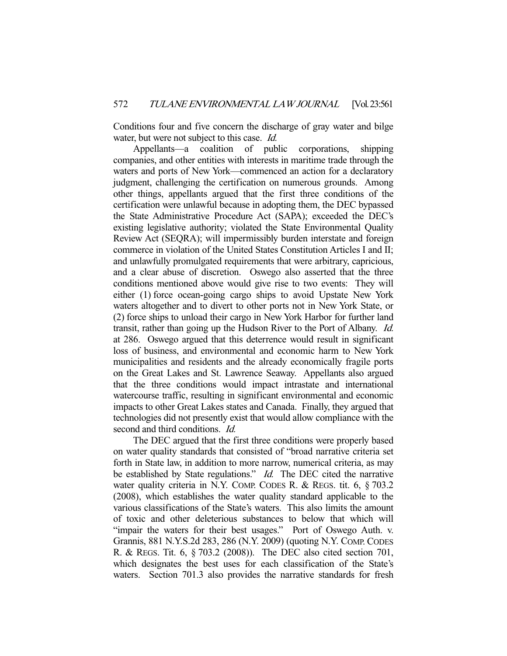Conditions four and five concern the discharge of gray water and bilge water, but were not subject to this case. *Id.* 

 Appellants—a coalition of public corporations, shipping companies, and other entities with interests in maritime trade through the waters and ports of New York—commenced an action for a declaratory judgment, challenging the certification on numerous grounds. Among other things, appellants argued that the first three conditions of the certification were unlawful because in adopting them, the DEC bypassed the State Administrative Procedure Act (SAPA); exceeded the DEC's existing legislative authority; violated the State Environmental Quality Review Act (SEQRA); will impermissibly burden interstate and foreign commerce in violation of the United States Constitution Articles I and II; and unlawfully promulgated requirements that were arbitrary, capricious, and a clear abuse of discretion. Oswego also asserted that the three conditions mentioned above would give rise to two events: They will either (1) force ocean-going cargo ships to avoid Upstate New York waters altogether and to divert to other ports not in New York State, or (2) force ships to unload their cargo in New York Harbor for further land transit, rather than going up the Hudson River to the Port of Albany. Id. at 286. Oswego argued that this deterrence would result in significant loss of business, and environmental and economic harm to New York municipalities and residents and the already economically fragile ports on the Great Lakes and St. Lawrence Seaway. Appellants also argued that the three conditions would impact intrastate and international watercourse traffic, resulting in significant environmental and economic impacts to other Great Lakes states and Canada. Finally, they argued that technologies did not presently exist that would allow compliance with the second and third conditions. *Id.* 

 The DEC argued that the first three conditions were properly based on water quality standards that consisted of "broad narrative criteria set forth in State law, in addition to more narrow, numerical criteria, as may be established by State regulations." *Id.* The DEC cited the narrative water quality criteria in N.Y. COMP. CODES R. & REGS. tit. 6, § 703.2 (2008), which establishes the water quality standard applicable to the various classifications of the State's waters. This also limits the amount of toxic and other deleterious substances to below that which will "impair the waters for their best usages." Port of Oswego Auth. v. Grannis, 881 N.Y.S.2d 283, 286 (N.Y. 2009) (quoting N.Y. COMP. CODES R. & REGS. Tit. 6, § 703.2 (2008)). The DEC also cited section 701, which designates the best uses for each classification of the State's waters. Section 701.3 also provides the narrative standards for fresh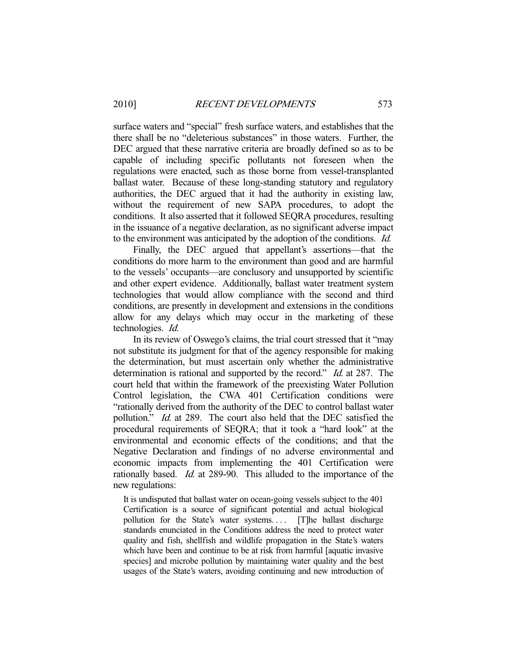surface waters and "special" fresh surface waters, and establishes that the there shall be no "deleterious substances" in those waters. Further, the DEC argued that these narrative criteria are broadly defined so as to be capable of including specific pollutants not foreseen when the regulations were enacted, such as those borne from vessel-transplanted ballast water. Because of these long-standing statutory and regulatory authorities, the DEC argued that it had the authority in existing law, without the requirement of new SAPA procedures, to adopt the conditions. It also asserted that it followed SEQRA procedures, resulting in the issuance of a negative declaration, as no significant adverse impact to the environment was anticipated by the adoption of the conditions. Id.

 Finally, the DEC argued that appellant's assertions—that the conditions do more harm to the environment than good and are harmful to the vessels' occupants—are conclusory and unsupported by scientific and other expert evidence. Additionally, ballast water treatment system technologies that would allow compliance with the second and third conditions, are presently in development and extensions in the conditions allow for any delays which may occur in the marketing of these technologies. Id.

 In its review of Oswego's claims, the trial court stressed that it "may not substitute its judgment for that of the agency responsible for making the determination, but must ascertain only whether the administrative determination is rational and supported by the record." *Id.* at 287. The court held that within the framework of the preexisting Water Pollution Control legislation, the CWA 401 Certification conditions were "rationally derived from the authority of the DEC to control ballast water pollution." *Id.* at 289. The court also held that the DEC satisfied the procedural requirements of SEQRA; that it took a "hard look" at the environmental and economic effects of the conditions; and that the Negative Declaration and findings of no adverse environmental and economic impacts from implementing the 401 Certification were rationally based. *Id.* at 289-90. This alluded to the importance of the new regulations:

It is undisputed that ballast water on ocean-going vessels subject to the 401 Certification is a source of significant potential and actual biological pollution for the State's water systems.... [T]he ballast discharge standards enunciated in the Conditions address the need to protect water quality and fish, shellfish and wildlife propagation in the State's waters which have been and continue to be at risk from harmful [aquatic invasive species] and microbe pollution by maintaining water quality and the best usages of the State's waters, avoiding continuing and new introduction of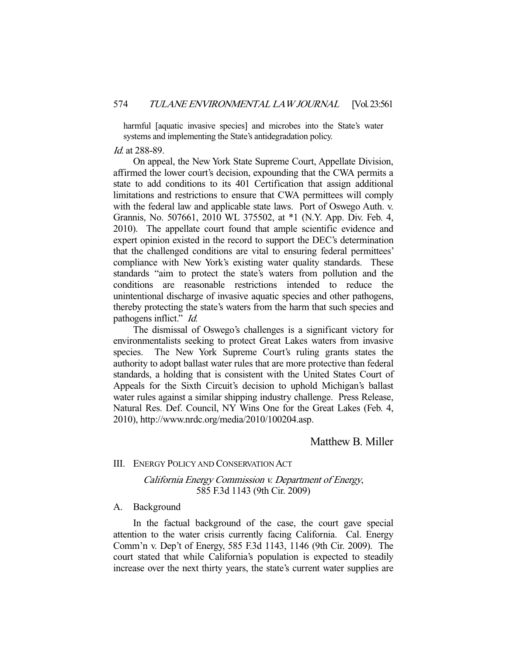harmful [aquatic invasive species] and microbes into the State's water systems and implementing the State's antidegradation policy.

#### Id. at 288-89.

 On appeal, the New York State Supreme Court, Appellate Division, affirmed the lower court's decision, expounding that the CWA permits a state to add conditions to its 401 Certification that assign additional limitations and restrictions to ensure that CWA permittees will comply with the federal law and applicable state laws. Port of Oswego Auth. v. Grannis, No. 507661, 2010 WL 375502, at \*1 (N.Y. App. Div. Feb. 4, 2010). The appellate court found that ample scientific evidence and expert opinion existed in the record to support the DEC's determination that the challenged conditions are vital to ensuring federal permittees' compliance with New York's existing water quality standards. These standards "aim to protect the state's waters from pollution and the conditions are reasonable restrictions intended to reduce the unintentional discharge of invasive aquatic species and other pathogens, thereby protecting the state's waters from the harm that such species and pathogens inflict." *Id.* 

 The dismissal of Oswego's challenges is a significant victory for environmentalists seeking to protect Great Lakes waters from invasive species. The New York Supreme Court's ruling grants states the authority to adopt ballast water rules that are more protective than federal standards, a holding that is consistent with the United States Court of Appeals for the Sixth Circuit's decision to uphold Michigan's ballast water rules against a similar shipping industry challenge. Press Release, Natural Res. Def. Council, NY Wins One for the Great Lakes (Feb. 4, 2010), http://www.nrdc.org/media/2010/100204.asp.

# Matthew B. Miller

#### III. ENERGY POLICY AND CONSERVATION ACT

# California Energy Commission v. Department of Energy, 585 F.3d 1143 (9th Cir. 2009)

#### A. Background

 In the factual background of the case, the court gave special attention to the water crisis currently facing California. Cal. Energy Comm'n v. Dep't of Energy, 585 F.3d 1143, 1146 (9th Cir. 2009). The court stated that while California's population is expected to steadily increase over the next thirty years, the state's current water supplies are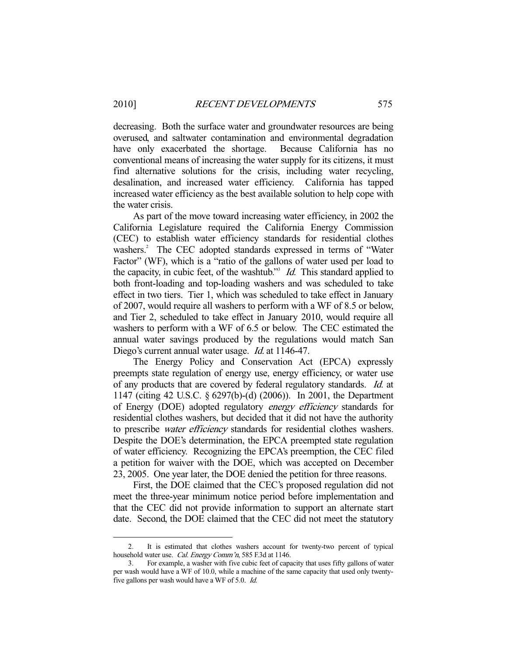decreasing. Both the surface water and groundwater resources are being overused, and saltwater contamination and environmental degradation have only exacerbated the shortage. Because California has no conventional means of increasing the water supply for its citizens, it must find alternative solutions for the crisis, including water recycling, desalination, and increased water efficiency. California has tapped increased water efficiency as the best available solution to help cope with the water crisis.

 As part of the move toward increasing water efficiency, in 2002 the California Legislature required the California Energy Commission (CEC) to establish water efficiency standards for residential clothes washers.<sup>2</sup> The CEC adopted standards expressed in terms of "Water Factor" (WF), which is a "ratio of the gallons of water used per load to the capacity, in cubic feet, of the washtub."  $Id$ . This standard applied to both front-loading and top-loading washers and was scheduled to take effect in two tiers. Tier 1, which was scheduled to take effect in January of 2007, would require all washers to perform with a WF of 8.5 or below, and Tier 2, scheduled to take effect in January 2010, would require all washers to perform with a WF of 6.5 or below. The CEC estimated the annual water savings produced by the regulations would match San Diego's current annual water usage. Id. at 1146-47.

 The Energy Policy and Conservation Act (EPCA) expressly preempts state regulation of energy use, energy efficiency, or water use of any products that are covered by federal regulatory standards. Id. at 1147 (citing 42 U.S.C. § 6297(b)-(d) (2006)). In 2001, the Department of Energy (DOE) adopted regulatory energy efficiency standards for residential clothes washers, but decided that it did not have the authority to prescribe water efficiency standards for residential clothes washers. Despite the DOE's determination, the EPCA preempted state regulation of water efficiency. Recognizing the EPCA's preemption, the CEC filed a petition for waiver with the DOE, which was accepted on December 23, 2005. One year later, the DOE denied the petition for three reasons.

 First, the DOE claimed that the CEC's proposed regulation did not meet the three-year minimum notice period before implementation and that the CEC did not provide information to support an alternate start date. Second, the DOE claimed that the CEC did not meet the statutory

-

 <sup>2.</sup> It is estimated that clothes washers account for twenty-two percent of typical household water use. Cal. Energy Comm'n, 585 F.3d at 1146.

 <sup>3.</sup> For example, a washer with five cubic feet of capacity that uses fifty gallons of water per wash would have a WF of 10.0, while a machine of the same capacity that used only twentyfive gallons per wash would have a WF of 5.0. Id.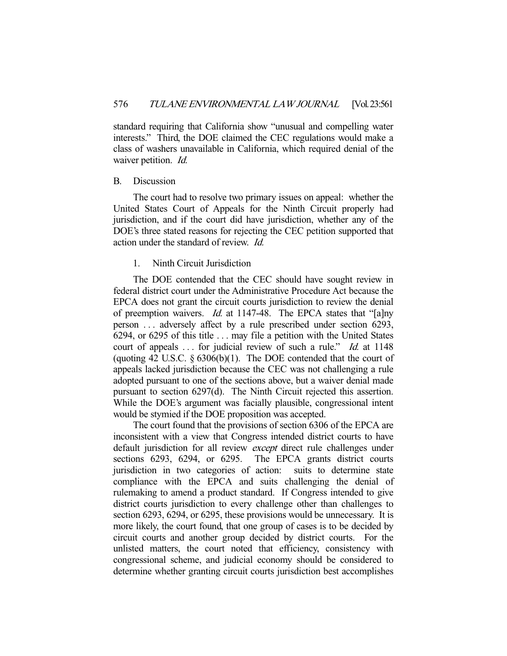standard requiring that California show "unusual and compelling water interests." Third, the DOE claimed the CEC regulations would make a class of washers unavailable in California, which required denial of the waiver petition. *Id.* 

#### B. Discussion

 The court had to resolve two primary issues on appeal: whether the United States Court of Appeals for the Ninth Circuit properly had jurisdiction, and if the court did have jurisdiction, whether any of the DOE's three stated reasons for rejecting the CEC petition supported that action under the standard of review. Id.

#### 1. Ninth Circuit Jurisdiction

 The DOE contended that the CEC should have sought review in federal district court under the Administrative Procedure Act because the EPCA does not grant the circuit courts jurisdiction to review the denial of preemption waivers. Id. at 1147-48. The EPCA states that "[a]ny person . . . adversely affect by a rule prescribed under section 6293, 6294, or 6295 of this title . . . may file a petition with the United States court of appeals ... for judicial review of such a rule." *Id.* at 1148 (quoting 42 U.S.C. § 6306(b)(1). The DOE contended that the court of appeals lacked jurisdiction because the CEC was not challenging a rule adopted pursuant to one of the sections above, but a waiver denial made pursuant to section 6297(d). The Ninth Circuit rejected this assertion. While the DOE's argument was facially plausible, congressional intent would be stymied if the DOE proposition was accepted.

 The court found that the provisions of section 6306 of the EPCA are inconsistent with a view that Congress intended district courts to have default jurisdiction for all review *except* direct rule challenges under sections 6293, 6294, or 6295. The EPCA grants district courts jurisdiction in two categories of action: suits to determine state compliance with the EPCA and suits challenging the denial of rulemaking to amend a product standard. If Congress intended to give district courts jurisdiction to every challenge other than challenges to section 6293, 6294, or 6295, these provisions would be unnecessary. It is more likely, the court found, that one group of cases is to be decided by circuit courts and another group decided by district courts. For the unlisted matters, the court noted that efficiency, consistency with congressional scheme, and judicial economy should be considered to determine whether granting circuit courts jurisdiction best accomplishes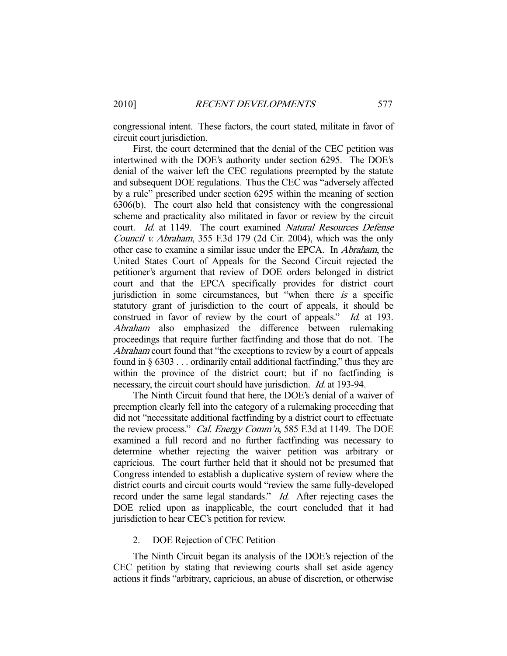congressional intent. These factors, the court stated, militate in favor of circuit court jurisdiction.

 First, the court determined that the denial of the CEC petition was intertwined with the DOE's authority under section 6295. The DOE's denial of the waiver left the CEC regulations preempted by the statute and subsequent DOE regulations. Thus the CEC was "adversely affected by a rule" prescribed under section 6295 within the meaning of section 6306(b). The court also held that consistency with the congressional scheme and practicality also militated in favor or review by the circuit court. Id. at 1149. The court examined Natural Resources Defense Council v. Abraham, 355 F.3d 179 (2d Cir. 2004), which was the only other case to examine a similar issue under the EPCA. In Abraham, the United States Court of Appeals for the Second Circuit rejected the petitioner's argument that review of DOE orders belonged in district court and that the EPCA specifically provides for district court jurisdiction in some circumstances, but "when there  $is$  a specific statutory grant of jurisdiction to the court of appeals, it should be construed in favor of review by the court of appeals." *Id.* at 193. Abraham also emphasized the difference between rulemaking proceedings that require further factfinding and those that do not. The Abraham court found that "the exceptions to review by a court of appeals found in  $\S 6303...$  ordinarily entail additional fact finding," thus they are within the province of the district court; but if no factfinding is necessary, the circuit court should have jurisdiction. Id. at 193-94.

 The Ninth Circuit found that here, the DOE's denial of a waiver of preemption clearly fell into the category of a rulemaking proceeding that did not "necessitate additional factfinding by a district court to effectuate the review process." Cal. Energy Comm'n, 585 F.3d at 1149. The DOE examined a full record and no further factfinding was necessary to determine whether rejecting the waiver petition was arbitrary or capricious. The court further held that it should not be presumed that Congress intended to establish a duplicative system of review where the district courts and circuit courts would "review the same fully-developed record under the same legal standards." *Id.* After rejecting cases the DOE relied upon as inapplicable, the court concluded that it had jurisdiction to hear CEC's petition for review.

## 2. DOE Rejection of CEC Petition

 The Ninth Circuit began its analysis of the DOE's rejection of the CEC petition by stating that reviewing courts shall set aside agency actions it finds "arbitrary, capricious, an abuse of discretion, or otherwise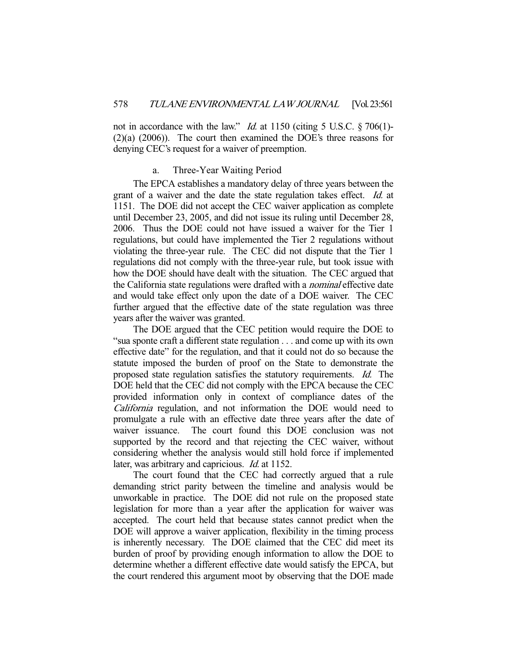not in accordance with the law." *Id.* at 1150 (citing 5 U.S.C.  $\S 706(1)$ -(2)(a) (2006)). The court then examined the DOE's three reasons for denying CEC's request for a waiver of preemption.

#### a. Three-Year Waiting Period

 The EPCA establishes a mandatory delay of three years between the grant of a waiver and the date the state regulation takes effect. Id. at 1151. The DOE did not accept the CEC waiver application as complete until December 23, 2005, and did not issue its ruling until December 28, 2006. Thus the DOE could not have issued a waiver for the Tier 1 regulations, but could have implemented the Tier 2 regulations without violating the three-year rule. The CEC did not dispute that the Tier 1 regulations did not comply with the three-year rule, but took issue with how the DOE should have dealt with the situation. The CEC argued that the California state regulations were drafted with a nominal effective date and would take effect only upon the date of a DOE waiver. The CEC further argued that the effective date of the state regulation was three years after the waiver was granted.

 The DOE argued that the CEC petition would require the DOE to "sua sponte craft a different state regulation . . . and come up with its own effective date" for the regulation, and that it could not do so because the statute imposed the burden of proof on the State to demonstrate the proposed state regulation satisfies the statutory requirements. Id. The DOE held that the CEC did not comply with the EPCA because the CEC provided information only in context of compliance dates of the California regulation, and not information the DOE would need to promulgate a rule with an effective date three years after the date of waiver issuance. The court found this DOE conclusion was not supported by the record and that rejecting the CEC waiver, without considering whether the analysis would still hold force if implemented later, was arbitrary and capricious. *Id.* at 1152.

 The court found that the CEC had correctly argued that a rule demanding strict parity between the timeline and analysis would be unworkable in practice. The DOE did not rule on the proposed state legislation for more than a year after the application for waiver was accepted. The court held that because states cannot predict when the DOE will approve a waiver application, flexibility in the timing process is inherently necessary. The DOE claimed that the CEC did meet its burden of proof by providing enough information to allow the DOE to determine whether a different effective date would satisfy the EPCA, but the court rendered this argument moot by observing that the DOE made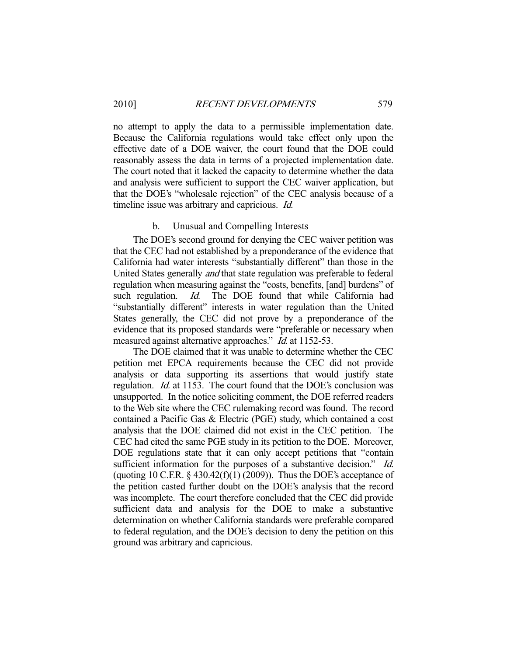no attempt to apply the data to a permissible implementation date. Because the California regulations would take effect only upon the effective date of a DOE waiver, the court found that the DOE could reasonably assess the data in terms of a projected implementation date. The court noted that it lacked the capacity to determine whether the data and analysis were sufficient to support the CEC waiver application, but that the DOE's "wholesale rejection" of the CEC analysis because of a timeline issue was arbitrary and capricious. Id.

#### b. Unusual and Compelling Interests

 The DOE's second ground for denying the CEC waiver petition was that the CEC had not established by a preponderance of the evidence that California had water interests "substantially different" than those in the United States generally *and* that state regulation was preferable to federal regulation when measuring against the "costs, benefits, [and] burdens" of such regulation. *Id.* The DOE found that while California had "substantially different" interests in water regulation than the United States generally, the CEC did not prove by a preponderance of the evidence that its proposed standards were "preferable or necessary when measured against alternative approaches." *Id.* at 1152-53.

 The DOE claimed that it was unable to determine whether the CEC petition met EPCA requirements because the CEC did not provide analysis or data supporting its assertions that would justify state regulation. *Id.* at 1153. The court found that the DOE's conclusion was unsupported. In the notice soliciting comment, the DOE referred readers to the Web site where the CEC rulemaking record was found. The record contained a Pacific Gas & Electric (PGE) study, which contained a cost analysis that the DOE claimed did not exist in the CEC petition. The CEC had cited the same PGE study in its petition to the DOE. Moreover, DOE regulations state that it can only accept petitions that "contain sufficient information for the purposes of a substantive decision." Id. (quoting 10 C.F.R.  $\S$  430.42(f)(1) (2009)). Thus the DOE's acceptance of the petition casted further doubt on the DOE's analysis that the record was incomplete. The court therefore concluded that the CEC did provide sufficient data and analysis for the DOE to make a substantive determination on whether California standards were preferable compared to federal regulation, and the DOE's decision to deny the petition on this ground was arbitrary and capricious.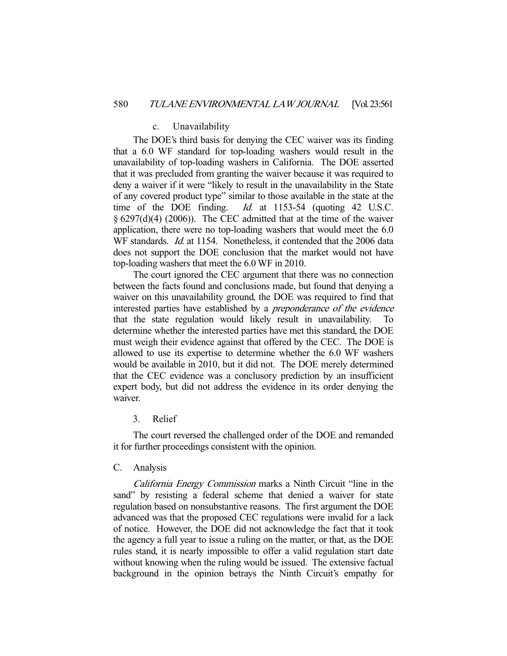#### c. Unavailability

 The DOE's third basis for denying the CEC waiver was its finding that a 6.0 WF standard for top-loading washers would result in the unavailability of top-loading washers in California. The DOE asserted that it was precluded from granting the waiver because it was required to deny a waiver if it were "likely to result in the unavailability in the State of any covered product type" similar to those available in the state at the time of the DOE finding. *Id.* at 1153-54 (quoting 42 U.S.C.  $\S$  6297(d)(4) (2006)). The CEC admitted that at the time of the waiver application, there were no top-loading washers that would meet the 6.0 WF standards. *Id.* at 1154. Nonetheless, it contended that the 2006 data does not support the DOE conclusion that the market would not have top-loading washers that meet the 6.0 WF in 2010.

 The court ignored the CEC argument that there was no connection between the facts found and conclusions made, but found that denying a waiver on this unavailability ground, the DOE was required to find that interested parties have established by a preponderance of the evidence that the state regulation would likely result in unavailability. To determine whether the interested parties have met this standard, the DOE must weigh their evidence against that offered by the CEC. The DOE is allowed to use its expertise to determine whether the 6.0 WF washers would be available in 2010, but it did not. The DOE merely determined that the CEC evidence was a conclusory prediction by an insufficient expert body, but did not address the evidence in its order denying the waiver.

## 3. Relief

 The court reversed the challenged order of the DOE and remanded it for further proceedings consistent with the opinion.

#### C. Analysis

California Energy Commission marks a Ninth Circuit "line in the sand" by resisting a federal scheme that denied a waiver for state regulation based on nonsubstantive reasons. The first argument the DOE advanced was that the proposed CEC regulations were invalid for a lack of notice. However, the DOE did not acknowledge the fact that it took the agency a full year to issue a ruling on the matter, or that, as the DOE rules stand, it is nearly impossible to offer a valid regulation start date without knowing when the ruling would be issued. The extensive factual background in the opinion betrays the Ninth Circuit's empathy for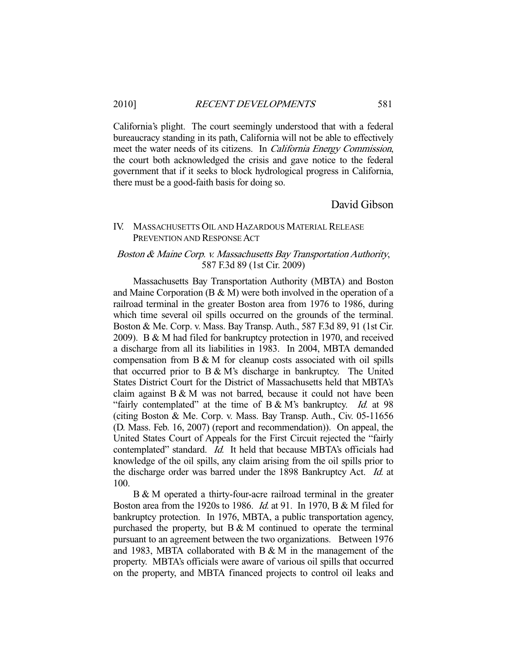California's plight. The court seemingly understood that with a federal bureaucracy standing in its path, California will not be able to effectively meet the water needs of its citizens. In California Energy Commission, the court both acknowledged the crisis and gave notice to the federal government that if it seeks to block hydrological progress in California, there must be a good-faith basis for doing so.

# David Gibson

# IV. MASSACHUSETTS OIL AND HAZARDOUS MATERIAL RELEASE PREVENTION AND RESPONSE ACT

# Boston & Maine Corp. v. Massachusetts Bay Transportation Authority, 587 F.3d 89 (1st Cir. 2009)

 Massachusetts Bay Transportation Authority (MBTA) and Boston and Maine Corporation (B & M) were both involved in the operation of a railroad terminal in the greater Boston area from 1976 to 1986, during which time several oil spills occurred on the grounds of the terminal. Boston & Me. Corp. v. Mass. Bay Transp. Auth., 587 F.3d 89, 91 (1st Cir. 2009). B & M had filed for bankruptcy protection in 1970, and received a discharge from all its liabilities in 1983. In 2004, MBTA demanded compensation from B & M for cleanup costs associated with oil spills that occurred prior to B & M's discharge in bankruptcy. The United States District Court for the District of Massachusetts held that MBTA's claim against B & M was not barred, because it could not have been "fairly contemplated" at the time of  $B & M$ 's bankruptcy. *Id.* at 98 (citing Boston & Me. Corp. v. Mass. Bay Transp. Auth., Civ. 05-11656 (D. Mass. Feb. 16, 2007) (report and recommendation)). On appeal, the United States Court of Appeals for the First Circuit rejected the "fairly contemplated" standard. *Id.* It held that because MBTA's officials had knowledge of the oil spills, any claim arising from the oil spills prior to the discharge order was barred under the 1898 Bankruptcy Act. Id. at 100.

 B & M operated a thirty-four-acre railroad terminal in the greater Boston area from the 1920s to 1986. Id. at 91. In 1970, B & M filed for bankruptcy protection. In 1976, MBTA, a public transportation agency, purchased the property, but  $B \& M$  continued to operate the terminal pursuant to an agreement between the two organizations. Between 1976 and 1983, MBTA collaborated with B & M in the management of the property. MBTA's officials were aware of various oil spills that occurred on the property, and MBTA financed projects to control oil leaks and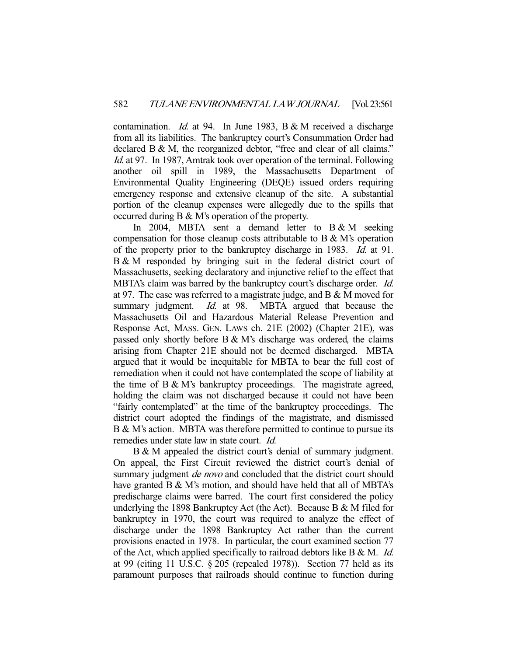contamination. Id. at 94. In June 1983, B & M received a discharge from all its liabilities. The bankruptcy court's Consummation Order had declared B & M, the reorganized debtor, "free and clear of all claims." Id. at 97. In 1987, Amtrak took over operation of the terminal. Following another oil spill in 1989, the Massachusetts Department of Environmental Quality Engineering (DEQE) issued orders requiring emergency response and extensive cleanup of the site. A substantial portion of the cleanup expenses were allegedly due to the spills that occurred during B & M's operation of the property.

In 2004, MBTA sent a demand letter to  $B & M$  seeking compensation for those cleanup costs attributable to B & M's operation of the property prior to the bankruptcy discharge in 1983. Id. at 91. B & M responded by bringing suit in the federal district court of Massachusetts, seeking declaratory and injunctive relief to the effect that MBTA's claim was barred by the bankruptcy court's discharge order. *Id.* at 97. The case was referred to a magistrate judge, and B & M moved for summary judgment. *Id.* at 98. MBTA argued that because the Massachusetts Oil and Hazardous Material Release Prevention and Response Act, MASS. GEN. LAWS ch. 21E (2002) (Chapter 21E), was passed only shortly before B & M's discharge was ordered, the claims arising from Chapter 21E should not be deemed discharged. MBTA argued that it would be inequitable for MBTA to bear the full cost of remediation when it could not have contemplated the scope of liability at the time of B & M's bankruptcy proceedings. The magistrate agreed, holding the claim was not discharged because it could not have been "fairly contemplated" at the time of the bankruptcy proceedings. The district court adopted the findings of the magistrate, and dismissed B & M's action. MBTA was therefore permitted to continue to pursue its remedies under state law in state court. Id.

 B & M appealed the district court's denial of summary judgment. On appeal, the First Circuit reviewed the district court's denial of summary judgment *de novo* and concluded that the district court should have granted B & M's motion, and should have held that all of MBTA's predischarge claims were barred. The court first considered the policy underlying the 1898 Bankruptcy Act (the Act). Because B  $&$  M filed for bankruptcy in 1970, the court was required to analyze the effect of discharge under the 1898 Bankruptcy Act rather than the current provisions enacted in 1978. In particular, the court examined section 77 of the Act, which applied specifically to railroad debtors like  $B \& M$ . *Id.* at 99 (citing 11 U.S.C. § 205 (repealed 1978)). Section 77 held as its paramount purposes that railroads should continue to function during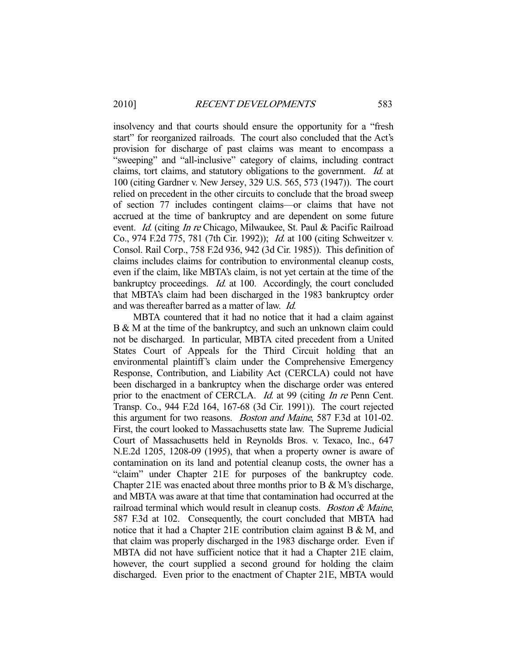insolvency and that courts should ensure the opportunity for a "fresh start" for reorganized railroads. The court also concluded that the Act's provision for discharge of past claims was meant to encompass a "sweeping" and "all-inclusive" category of claims, including contract claims, tort claims, and statutory obligations to the government. Id. at 100 (citing Gardner v. New Jersey, 329 U.S. 565, 573 (1947)). The court relied on precedent in the other circuits to conclude that the broad sweep of section 77 includes contingent claims—or claims that have not accrued at the time of bankruptcy and are dependent on some future event. Id. (citing In re Chicago, Milwaukee, St. Paul & Pacific Railroad Co., 974 F.2d 775, 781 (7th Cir. 1992)); Id. at 100 (citing Schweitzer v. Consol. Rail Corp., 758 F.2d 936, 942 (3d Cir. 1985)). This definition of claims includes claims for contribution to environmental cleanup costs, even if the claim, like MBTA's claim, is not yet certain at the time of the bankruptcy proceedings. *Id.* at 100. Accordingly, the court concluded that MBTA's claim had been discharged in the 1983 bankruptcy order and was thereafter barred as a matter of law. Id.

 MBTA countered that it had no notice that it had a claim against B & M at the time of the bankruptcy, and such an unknown claim could not be discharged. In particular, MBTA cited precedent from a United States Court of Appeals for the Third Circuit holding that an environmental plaintiff's claim under the Comprehensive Emergency Response, Contribution, and Liability Act (CERCLA) could not have been discharged in a bankruptcy when the discharge order was entered prior to the enactment of CERCLA. *Id.* at 99 (citing *In re* Penn Cent. Transp. Co., 944 F.2d 164, 167-68 (3d Cir. 1991)). The court rejected this argument for two reasons. Boston and Maine, 587 F.3d at 101-02. First, the court looked to Massachusetts state law. The Supreme Judicial Court of Massachusetts held in Reynolds Bros. v. Texaco, Inc., 647 N.E.2d 1205, 1208-09 (1995), that when a property owner is aware of contamination on its land and potential cleanup costs, the owner has a "claim" under Chapter 21E for purposes of the bankruptcy code. Chapter 21E was enacted about three months prior to B  $\&$  M's discharge, and MBTA was aware at that time that contamination had occurred at the railroad terminal which would result in cleanup costs. *Boston & Maine*, 587 F.3d at 102. Consequently, the court concluded that MBTA had notice that it had a Chapter 21E contribution claim against B & M, and that claim was properly discharged in the 1983 discharge order. Even if MBTA did not have sufficient notice that it had a Chapter 21E claim, however, the court supplied a second ground for holding the claim discharged. Even prior to the enactment of Chapter 21E, MBTA would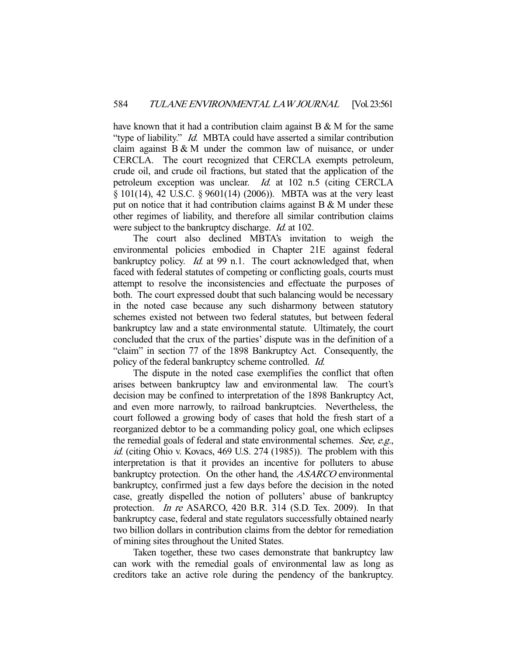have known that it had a contribution claim against  $B \& M$  for the same "type of liability." *Id.* MBTA could have asserted a similar contribution claim against  $B & M$  under the common law of nuisance, or under CERCLA. The court recognized that CERCLA exempts petroleum, crude oil, and crude oil fractions, but stated that the application of the petroleum exception was unclear. Id. at 102 n.5 (citing CERCLA § 101(14), 42 U.S.C. § 9601(14) (2006)). MBTA was at the very least put on notice that it had contribution claims against  $B & M$  under these other regimes of liability, and therefore all similar contribution claims were subject to the bankruptcy discharge. *Id.* at 102.

 The court also declined MBTA's invitation to weigh the environmental policies embodied in Chapter 21E against federal bankruptcy policy. *Id.* at 99 n.1. The court acknowledged that, when faced with federal statutes of competing or conflicting goals, courts must attempt to resolve the inconsistencies and effectuate the purposes of both. The court expressed doubt that such balancing would be necessary in the noted case because any such disharmony between statutory schemes existed not between two federal statutes, but between federal bankruptcy law and a state environmental statute. Ultimately, the court concluded that the crux of the parties' dispute was in the definition of a "claim" in section 77 of the 1898 Bankruptcy Act. Consequently, the policy of the federal bankruptcy scheme controlled. Id.

 The dispute in the noted case exemplifies the conflict that often arises between bankruptcy law and environmental law. The court's decision may be confined to interpretation of the 1898 Bankruptcy Act, and even more narrowly, to railroad bankruptcies. Nevertheless, the court followed a growing body of cases that hold the fresh start of a reorganized debtor to be a commanding policy goal, one which eclipses the remedial goals of federal and state environmental schemes. See, e.g., id. (citing Ohio v. Kovacs, 469 U.S. 274 (1985)). The problem with this interpretation is that it provides an incentive for polluters to abuse bankruptcy protection. On the other hand, the ASARCO environmental bankruptcy, confirmed just a few days before the decision in the noted case, greatly dispelled the notion of polluters' abuse of bankruptcy protection. In re ASARCO, 420 B.R. 314 (S.D. Tex. 2009). In that bankruptcy case, federal and state regulators successfully obtained nearly two billion dollars in contribution claims from the debtor for remediation of mining sites throughout the United States.

 Taken together, these two cases demonstrate that bankruptcy law can work with the remedial goals of environmental law as long as creditors take an active role during the pendency of the bankruptcy.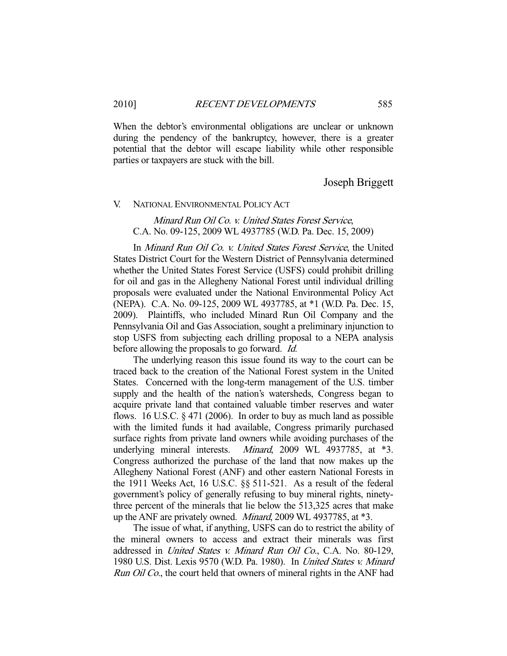When the debtor's environmental obligations are unclear or unknown during the pendency of the bankruptcy, however, there is a greater potential that the debtor will escape liability while other responsible parties or taxpayers are stuck with the bill.

# Joseph Briggett

#### V. NATIONAL ENVIRONMENTAL POLICY ACT

Minard Run Oil Co. v. United States Forest Service, C.A. No. 09-125, 2009 WL 4937785 (W.D. Pa. Dec. 15, 2009)

 In Minard Run Oil Co. v. United States Forest Service, the United States District Court for the Western District of Pennsylvania determined whether the United States Forest Service (USFS) could prohibit drilling for oil and gas in the Allegheny National Forest until individual drilling proposals were evaluated under the National Environmental Policy Act (NEPA). C.A. No. 09-125, 2009 WL 4937785, at \*1 (W.D. Pa. Dec. 15, 2009). Plaintiffs, who included Minard Run Oil Company and the Pennsylvania Oil and Gas Association, sought a preliminary injunction to stop USFS from subjecting each drilling proposal to a NEPA analysis before allowing the proposals to go forward. *Id.* 

 The underlying reason this issue found its way to the court can be traced back to the creation of the National Forest system in the United States. Concerned with the long-term management of the U.S. timber supply and the health of the nation's watersheds, Congress began to acquire private land that contained valuable timber reserves and water flows. 16 U.S.C. § 471 (2006). In order to buy as much land as possible with the limited funds it had available, Congress primarily purchased surface rights from private land owners while avoiding purchases of the underlying mineral interests. *Minard*, 2009 WL 4937785, at \*3. Congress authorized the purchase of the land that now makes up the Allegheny National Forest (ANF) and other eastern National Forests in the 1911 Weeks Act, 16 U.S.C. §§ 511-521. As a result of the federal government's policy of generally refusing to buy mineral rights, ninetythree percent of the minerals that lie below the 513,325 acres that make up the ANF are privately owned. Minard, 2009 WL 4937785, at \*3.

 The issue of what, if anything, USFS can do to restrict the ability of the mineral owners to access and extract their minerals was first addressed in United States v. Minard Run Oil Co., C.A. No. 80-129, 1980 U.S. Dist. Lexis 9570 (W.D. Pa. 1980). In United States v. Minard Run Oil Co., the court held that owners of mineral rights in the ANF had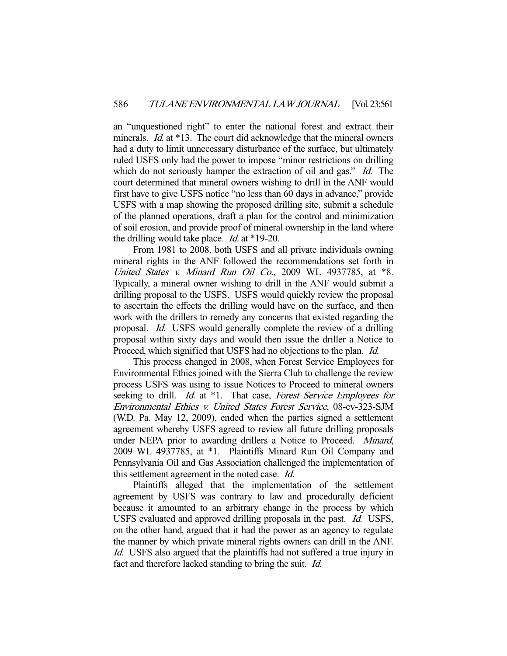an "unquestioned right" to enter the national forest and extract their minerals. *Id.* at \*13. The court did acknowledge that the mineral owners had a duty to limit unnecessary disturbance of the surface, but ultimately ruled USFS only had the power to impose "minor restrictions on drilling which do not seriously hamper the extraction of oil and gas." Id. The court determined that mineral owners wishing to drill in the ANF would first have to give USFS notice "no less than 60 days in advance," provide USFS with a map showing the proposed drilling site, submit a schedule of the planned operations, draft a plan for the control and minimization of soil erosion, and provide proof of mineral ownership in the land where the drilling would take place. Id. at \*19-20.

 From 1981 to 2008, both USFS and all private individuals owning mineral rights in the ANF followed the recommendations set forth in United States v. Minard Run Oil Co., 2009 WL 4937785, at \*8. Typically, a mineral owner wishing to drill in the ANF would submit a drilling proposal to the USFS. USFS would quickly review the proposal to ascertain the effects the drilling would have on the surface, and then work with the drillers to remedy any concerns that existed regarding the proposal. Id. USFS would generally complete the review of a drilling proposal within sixty days and would then issue the driller a Notice to Proceed, which signified that USFS had no objections to the plan. *Id.* 

 This process changed in 2008, when Forest Service Employees for Environmental Ethics joined with the Sierra Club to challenge the review process USFS was using to issue Notices to Proceed to mineral owners seeking to drill. Id. at \*1. That case, Forest Service Employees for Environmental Ethics v. United States Forest Service, 08-cv-323-SJM (W.D. Pa. May 12, 2009), ended when the parties signed a settlement agreement whereby USFS agreed to review all future drilling proposals under NEPA prior to awarding drillers a Notice to Proceed. Minard, 2009 WL 4937785, at \*1. Plaintiffs Minard Run Oil Company and Pennsylvania Oil and Gas Association challenged the implementation of this settlement agreement in the noted case. Id.

 Plaintiffs alleged that the implementation of the settlement agreement by USFS was contrary to law and procedurally deficient because it amounted to an arbitrary change in the process by which USFS evaluated and approved drilling proposals in the past. Id. USFS, on the other hand, argued that it had the power as an agency to regulate the manner by which private mineral rights owners can drill in the ANF. Id. USFS also argued that the plaintiffs had not suffered a true injury in fact and therefore lacked standing to bring the suit. Id.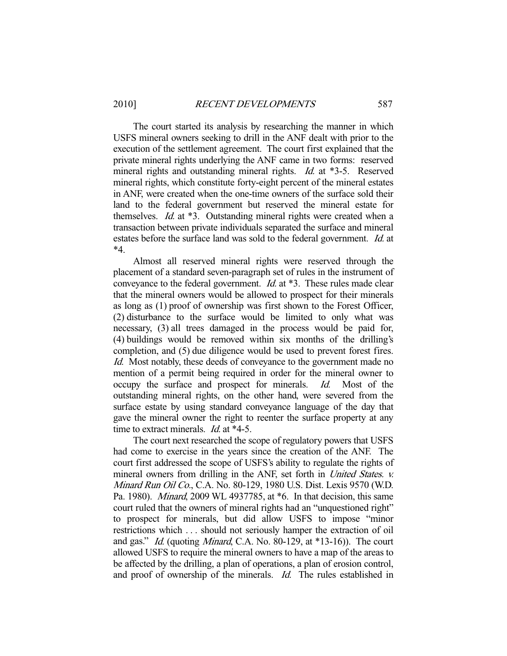The court started its analysis by researching the manner in which USFS mineral owners seeking to drill in the ANF dealt with prior to the execution of the settlement agreement. The court first explained that the private mineral rights underlying the ANF came in two forms: reserved mineral rights and outstanding mineral rights. *Id.* at \*3-5. Reserved mineral rights, which constitute forty-eight percent of the mineral estates in ANF, were created when the one-time owners of the surface sold their land to the federal government but reserved the mineral estate for themselves. *Id.* at \*3. Outstanding mineral rights were created when a transaction between private individuals separated the surface and mineral estates before the surface land was sold to the federal government. Id. at \*4.

 Almost all reserved mineral rights were reserved through the placement of a standard seven-paragraph set of rules in the instrument of conveyance to the federal government. Id. at \*3. These rules made clear that the mineral owners would be allowed to prospect for their minerals as long as (1) proof of ownership was first shown to the Forest Officer, (2) disturbance to the surface would be limited to only what was necessary, (3) all trees damaged in the process would be paid for, (4) buildings would be removed within six months of the drilling's completion, and (5) due diligence would be used to prevent forest fires. Id. Most notably, these deeds of conveyance to the government made no mention of a permit being required in order for the mineral owner to occupy the surface and prospect for minerals. Id. Most of the outstanding mineral rights, on the other hand, were severed from the surface estate by using standard conveyance language of the day that gave the mineral owner the right to reenter the surface property at any time to extract minerals. *Id.* at \*4-5.

 The court next researched the scope of regulatory powers that USFS had come to exercise in the years since the creation of the ANF. The court first addressed the scope of USFS's ability to regulate the rights of mineral owners from drilling in the ANF, set forth in United States. v. Minard Run Oil Co., C.A. No. 80-129, 1980 U.S. Dist. Lexis 9570 (W.D. Pa. 1980). Minard, 2009 WL 4937785, at \*6. In that decision, this same court ruled that the owners of mineral rights had an "unquestioned right" to prospect for minerals, but did allow USFS to impose "minor restrictions which . . . should not seriously hamper the extraction of oil and gas." Id. (quoting Minard, C.A. No. 80-129, at \*13-16)). The court allowed USFS to require the mineral owners to have a map of the areas to be affected by the drilling, a plan of operations, a plan of erosion control, and proof of ownership of the minerals. Id. The rules established in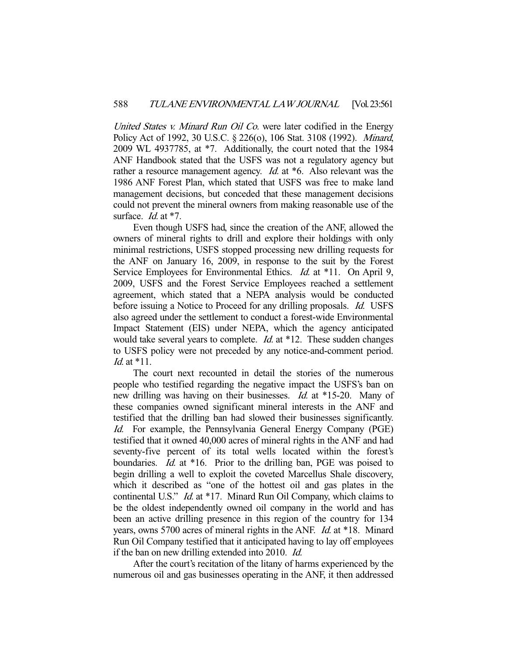United States v. Minard Run Oil Co. were later codified in the Energy Policy Act of 1992, 30 U.S.C. § 226(o), 106 Stat. 3108 (1992). Minard, 2009 WL 4937785, at \*7. Additionally, the court noted that the 1984 ANF Handbook stated that the USFS was not a regulatory agency but rather a resource management agency. *Id.* at \*6. Also relevant was the 1986 ANF Forest Plan, which stated that USFS was free to make land management decisions, but conceded that these management decisions could not prevent the mineral owners from making reasonable use of the surface. *Id.* at \*7.

 Even though USFS had, since the creation of the ANF, allowed the owners of mineral rights to drill and explore their holdings with only minimal restrictions, USFS stopped processing new drilling requests for the ANF on January 16, 2009, in response to the suit by the Forest Service Employees for Environmental Ethics. *Id.* at \*11. On April 9, 2009, USFS and the Forest Service Employees reached a settlement agreement, which stated that a NEPA analysis would be conducted before issuing a Notice to Proceed for any drilling proposals. *Id.* USFS also agreed under the settlement to conduct a forest-wide Environmental Impact Statement (EIS) under NEPA, which the agency anticipated would take several years to complete. *Id.* at \*12. These sudden changes to USFS policy were not preceded by any notice-and-comment period. Id. at \*11.

 The court next recounted in detail the stories of the numerous people who testified regarding the negative impact the USFS's ban on new drilling was having on their businesses. Id. at \*15-20. Many of these companies owned significant mineral interests in the ANF and testified that the drilling ban had slowed their businesses significantly. Id. For example, the Pennsylvania General Energy Company (PGE) testified that it owned 40,000 acres of mineral rights in the ANF and had seventy-five percent of its total wells located within the forest's boundaries. *Id.* at \*16. Prior to the drilling ban, PGE was poised to begin drilling a well to exploit the coveted Marcellus Shale discovery, which it described as "one of the hottest oil and gas plates in the continental U.S." Id. at \*17. Minard Run Oil Company, which claims to be the oldest independently owned oil company in the world and has been an active drilling presence in this region of the country for 134 years, owns 5700 acres of mineral rights in the ANF. Id. at \*18. Minard Run Oil Company testified that it anticipated having to lay off employees if the ban on new drilling extended into 2010. Id.

 After the court's recitation of the litany of harms experienced by the numerous oil and gas businesses operating in the ANF, it then addressed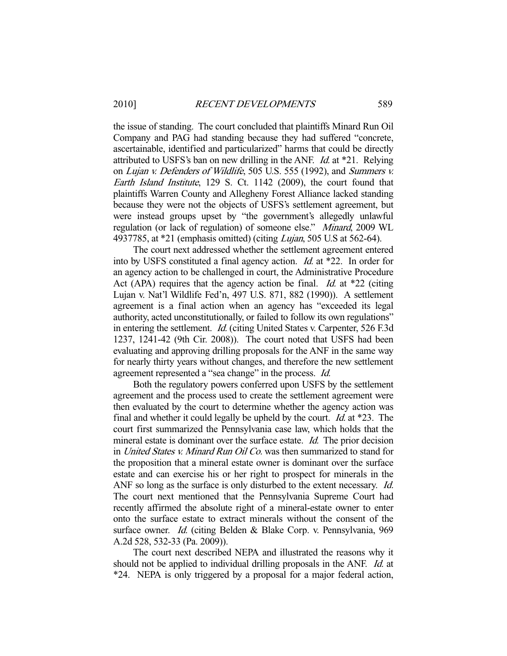the issue of standing. The court concluded that plaintiffs Minard Run Oil Company and PAG had standing because they had suffered "concrete, ascertainable, identified and particularized" harms that could be directly attributed to USFS's ban on new drilling in the ANF. Id. at \*21. Relying on Lujan v. Defenders of Wildlife, 505 U.S. 555 (1992), and Summers v. Earth Island Institute, 129 S. Ct. 1142 (2009), the court found that plaintiffs Warren County and Allegheny Forest Alliance lacked standing because they were not the objects of USFS's settlement agreement, but were instead groups upset by "the government's allegedly unlawful regulation (or lack of regulation) of someone else." Minard, 2009 WL 4937785, at \*21 (emphasis omitted) (citing Lujan, 505 U.S at 562-64).

 The court next addressed whether the settlement agreement entered into by USFS constituted a final agency action. Id. at \*22. In order for an agency action to be challenged in court, the Administrative Procedure Act (APA) requires that the agency action be final. *Id.* at  $*22$  (citing Lujan v. Nat'l Wildlife Fed'n, 497 U.S. 871, 882 (1990)). A settlement agreement is a final action when an agency has "exceeded its legal authority, acted unconstitutionally, or failed to follow its own regulations" in entering the settlement. Id. (citing United States v. Carpenter, 526 F.3d 1237, 1241-42 (9th Cir. 2008)). The court noted that USFS had been evaluating and approving drilling proposals for the ANF in the same way for nearly thirty years without changes, and therefore the new settlement agreement represented a "sea change" in the process. Id.

 Both the regulatory powers conferred upon USFS by the settlement agreement and the process used to create the settlement agreement were then evaluated by the court to determine whether the agency action was final and whether it could legally be upheld by the court. Id. at \*23. The court first summarized the Pennsylvania case law, which holds that the mineral estate is dominant over the surface estate. *Id.* The prior decision in United States v. Minard Run Oil Co. was then summarized to stand for the proposition that a mineral estate owner is dominant over the surface estate and can exercise his or her right to prospect for minerals in the ANF so long as the surface is only disturbed to the extent necessary. *Id.* The court next mentioned that the Pennsylvania Supreme Court had recently affirmed the absolute right of a mineral-estate owner to enter onto the surface estate to extract minerals without the consent of the surface owner. *Id.* (citing Belden & Blake Corp. v. Pennsylvania, 969 A.2d 528, 532-33 (Pa. 2009)).

 The court next described NEPA and illustrated the reasons why it should not be applied to individual drilling proposals in the ANF. Id. at \*24. NEPA is only triggered by a proposal for a major federal action,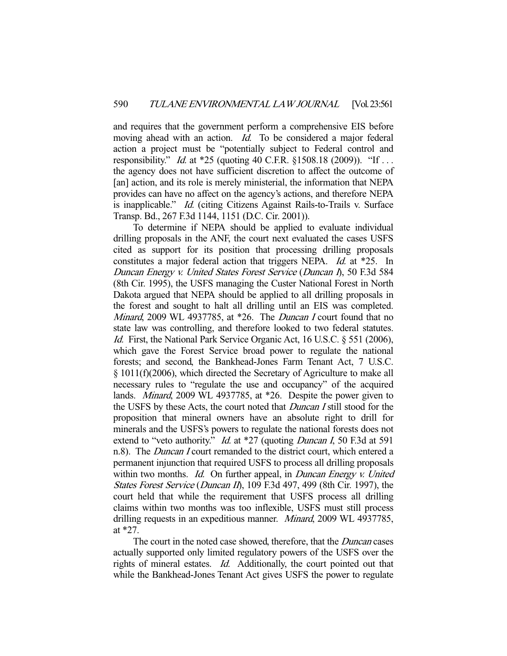and requires that the government perform a comprehensive EIS before moving ahead with an action. *Id.* To be considered a major federal action a project must be "potentially subject to Federal control and responsibility." *Id.* at \*25 (quoting 40 C.F.R. §1508.18 (2009)). "If ... the agency does not have sufficient discretion to affect the outcome of [an] action, and its role is merely ministerial, the information that NEPA provides can have no affect on the agency's actions, and therefore NEPA is inapplicable." Id. (citing Citizens Against Rails-to-Trails v. Surface Transp. Bd., 267 F.3d 1144, 1151 (D.C. Cir. 2001)).

 To determine if NEPA should be applied to evaluate individual drilling proposals in the ANF, the court next evaluated the cases USFS cited as support for its position that processing drilling proposals constitutes a major federal action that triggers NEPA. *Id.* at \*25. In Duncan Energy v. United States Forest Service (Duncan I), 50 F.3d 584 (8th Cir. 1995), the USFS managing the Custer National Forest in North Dakota argued that NEPA should be applied to all drilling proposals in the forest and sought to halt all drilling until an EIS was completed. Minard, 2009 WL 4937785, at \*26. The Duncan I court found that no state law was controlling, and therefore looked to two federal statutes. Id. First, the National Park Service Organic Act, 16 U.S.C. § 551 (2006), which gave the Forest Service broad power to regulate the national forests; and second, the Bankhead-Jones Farm Tenant Act, 7 U.S.C. § 1011(f)(2006), which directed the Secretary of Agriculture to make all necessary rules to "regulate the use and occupancy" of the acquired lands. Minard, 2009 WL 4937785, at \*26. Despite the power given to the USFS by these Acts, the court noted that Duncan I still stood for the proposition that mineral owners have an absolute right to drill for minerals and the USFS's powers to regulate the national forests does not extend to "veto authority." *Id.* at \*27 (quoting *Duncan I*, 50 F.3d at 591 n.8). The *Duncan I* court remanded to the district court, which entered a permanent injunction that required USFS to process all drilling proposals within two months. *Id.* On further appeal, in *Duncan Energy v. United* States Forest Service (Duncan II), 109 F.3d 497, 499 (8th Cir. 1997), the court held that while the requirement that USFS process all drilling claims within two months was too inflexible, USFS must still process drilling requests in an expeditious manner. Minard, 2009 WL 4937785, at \*27.

The court in the noted case showed, therefore, that the *Duncan* cases actually supported only limited regulatory powers of the USFS over the rights of mineral estates. Id. Additionally, the court pointed out that while the Bankhead-Jones Tenant Act gives USFS the power to regulate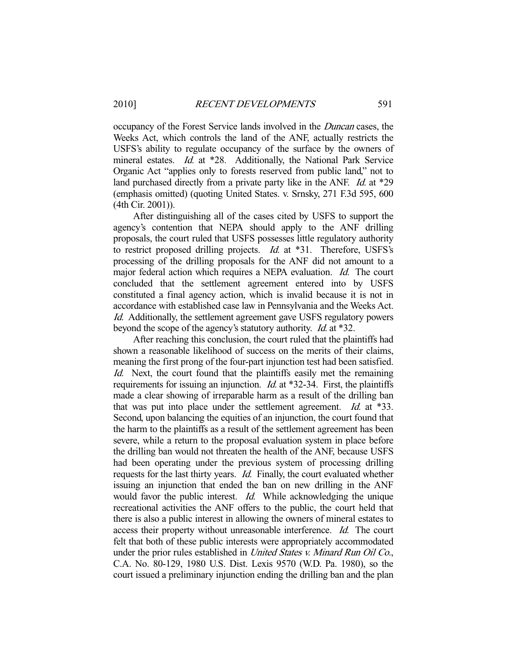occupancy of the Forest Service lands involved in the Duncan cases, the Weeks Act, which controls the land of the ANF, actually restricts the USFS's ability to regulate occupancy of the surface by the owners of mineral estates. *Id.* at \*28. Additionally, the National Park Service Organic Act "applies only to forests reserved from public land," not to land purchased directly from a private party like in the ANF. *Id.* at \*29 (emphasis omitted) (quoting United States. v. Srnsky, 271 F.3d 595, 600 (4th Cir. 2001)).

 After distinguishing all of the cases cited by USFS to support the agency's contention that NEPA should apply to the ANF drilling proposals, the court ruled that USFS possesses little regulatory authority to restrict proposed drilling projects. *Id.* at \*31. Therefore, USFS's processing of the drilling proposals for the ANF did not amount to a major federal action which requires a NEPA evaluation. Id. The court concluded that the settlement agreement entered into by USFS constituted a final agency action, which is invalid because it is not in accordance with established case law in Pennsylvania and the Weeks Act. Id. Additionally, the settlement agreement gave USFS regulatory powers beyond the scope of the agency's statutory authority. Id. at \*32.

 After reaching this conclusion, the court ruled that the plaintiffs had shown a reasonable likelihood of success on the merits of their claims, meaning the first prong of the four-part injunction test had been satisfied. Id. Next, the court found that the plaintiffs easily met the remaining requirements for issuing an injunction. *Id.* at \*32-34. First, the plaintiffs made a clear showing of irreparable harm as a result of the drilling ban that was put into place under the settlement agreement. *Id.* at \*33. Second, upon balancing the equities of an injunction, the court found that the harm to the plaintiffs as a result of the settlement agreement has been severe, while a return to the proposal evaluation system in place before the drilling ban would not threaten the health of the ANF, because USFS had been operating under the previous system of processing drilling requests for the last thirty years. Id. Finally, the court evaluated whether issuing an injunction that ended the ban on new drilling in the ANF would favor the public interest. *Id.* While acknowledging the unique recreational activities the ANF offers to the public, the court held that there is also a public interest in allowing the owners of mineral estates to access their property without unreasonable interference. Id. The court felt that both of these public interests were appropriately accommodated under the prior rules established in *United States v. Minard Run Oil Co.*, C.A. No. 80-129, 1980 U.S. Dist. Lexis 9570 (W.D. Pa. 1980), so the court issued a preliminary injunction ending the drilling ban and the plan